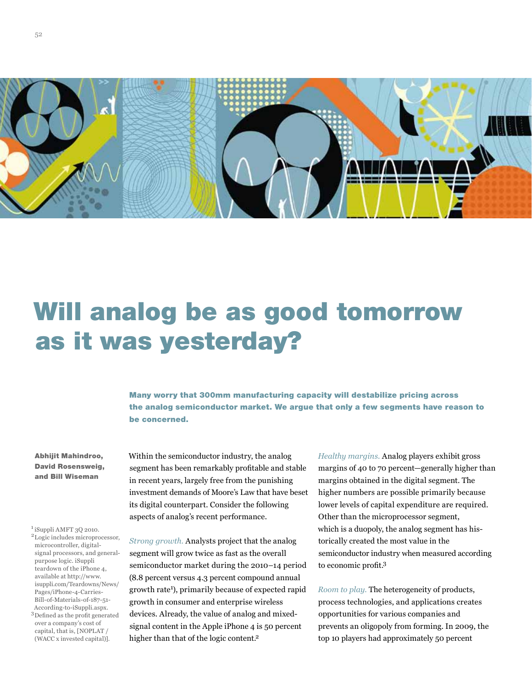

# Will analog be as good tomorrow as it was yesterday?

Many worry that 300mm manufacturing capacity will destabilize pricing across the analog semiconductor market. We argue that only a few segments have reason to be concerned.

Abhijit Mahindroo, David Rosensweig, and Bill Wiseman

<sup>1</sup> iSuppli AMFT 3Q 2010. <sup>2</sup>Logic includes microprocessor, microcontroller, digitalsignal processors, and generalpurpose logic. iSuppli teardown of the iPhone 4, available at http://www. isuppli.com/Teardowns/News/ Pages/iPhone-4-Carries-Bill-of-Materials-of-187-51- According-to-iSuppli.aspx. 3Defined as the profit generated over a company's cost of capital, that is, [NOPLAT / (WACC x invested capital)].

Within the semiconductor industry, the analog segment has been remarkably profitable and stable in recent years, largely free from the punishing investment demands of Moore's Law that have beset its digital counterpart. Consider the following aspects of analog's recent performance.

*Strong growth.* Analysts project that the analog segment will grow twice as fast as the overall semiconductor market during the 2010–14 period (8.8 percent versus 4.3 percent compound annual growth rate<sup>1</sup>), primarily because of expected rapid growth in consumer and enterprise wireless devices. Already, the value of analog and mixedsignal content in the Apple iPhone 4 is 50 percent higher than that of the logic content.2

*Healthy margins.* Analog players exhibit gross margins of 40 to 70 percent—generally higher than margins obtained in the digital segment. The higher numbers are possible primarily because lower levels of capital expenditure are required. Other than the microprocessor segment, which is a duopoly, the analog segment has historically created the most value in the semiconductor industry when measured according to economic profit.3

*Room to play.* The heterogeneity of products, process technologies, and applications creates opportunities for various companies and prevents an oligopoly from forming. In 2009, the top 10 players had approximately 50 percent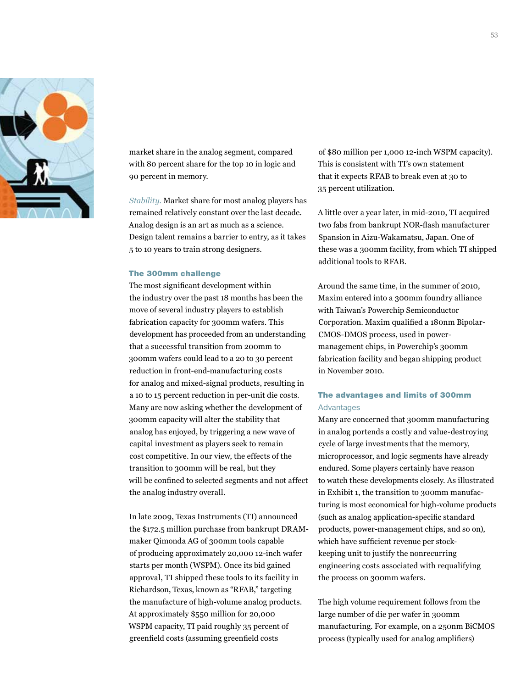

market share in the analog segment, compared with 80 percent share for the top 10 in logic and 90 percent in memory.

*Stability.* Market share for most analog players has remained relatively constant over the last decade. Analog design is an art as much as a science. Design talent remains a barrier to entry, as it takes 5 to 10 years to train strong designers.

### The 300mm challenge

The most significant development within the industry over the past 18 months has been the move of several industry players to establish fabrication capacity for 300mm wafers. This development has proceeded from an understanding that a successful transition from 200mm to 300mm wafers could lead to a 20 to 30 percent reduction in front-end-manufacturing costs for analog and mixed-signal products, resulting in a 10 to 15 percent reduction in per-unit die costs. Many are now asking whether the development of 300mm capacity will alter the stability that analog has enjoyed, by triggering a new wave of capital investment as players seek to remain cost competitive. In our view, the effects of the transition to 300mm will be real, but they will be confined to selected segments and not affect the analog industry overall.

In late 2009, Texas Instruments (TI) announced the \$172.5 million purchase from bankrupt DRAMmaker Qimonda AG of 300mm tools capable of producing approximately 20,000 12-inch wafer starts per month (WSPM). Once its bid gained approval, TI shipped these tools to its facility in Richardson, Texas, known as "RFAB," targeting the manufacture of high-volume analog products. At approximately \$550 million for 20,000 WSPM capacity, TI paid roughly 35 percent of greenfield costs (assuming greenfield costs

of \$80 million per 1,000 12-inch WSPM capacity). This is consistent with TI's own statement that it expects RFAB to break even at 30 to 35 percent utilization.

A little over a year later, in mid-2010, TI acquired two fabs from bankrupt NOR-flash manufacturer Spansion in Aizu-Wakamatsu, Japan. One of these was a 300mm facility, from which TI shipped additional tools to RFAB.

Around the same time, in the summer of 2010, Maxim entered into a 300mm foundry alliance with Taiwan's Powerchip Semiconductor Corporation. Maxim qualified a 180nm Bipolar-CMOS-DMOS process, used in powermanagement chips, in Powerchip's 300mm fabrication facility and began shipping product in November 2010.

### The advantages and limits of 300mm Advantages

Many are concerned that 300mm manufacturing in analog portends a costly and value-destroying cycle of large investments that the memory, microprocessor, and logic segments have already endured. Some players certainly have reason to watch these developments closely. As illustrated in Exhibit 1, the transition to 300mm manufacturing is most economical for high-volume products (such as analog application-specific standard products, power-management chips, and so on), which have sufficient revenue per stockkeeping unit to justify the nonrecurring engineering costs associated with requalifying the process on 300mm wafers.

The high volume requirement follows from the large number of die per wafer in 300mm manufacturing. For example, on a 250nm BiCMOS process (typically used for analog amplifiers)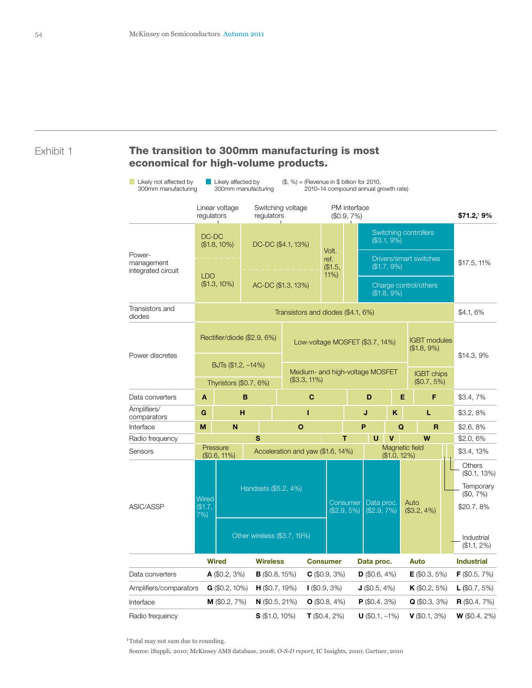# Exhibit 1 The transition to 300mm manufacturing is most economical for high-volume products.

| Likely not affected by<br>300mm manufacturing | Likely affected by<br>$(\$, \%) =$ (Revenue in $\$$ billion for 2010,<br>300mm manufacturing<br>2010-14 compound annual growth rate) |                                      |                             |                                          |                                 |                                |                                 |                                                                   |                                                         |                                    |                      |                                                              |
|-----------------------------------------------|--------------------------------------------------------------------------------------------------------------------------------------|--------------------------------------|-----------------------------|------------------------------------------|---------------------------------|--------------------------------|---------------------------------|-------------------------------------------------------------------|---------------------------------------------------------|------------------------------------|----------------------|--------------------------------------------------------------|
|                                               | Linear voltage<br>regulators                                                                                                         |                                      |                             | Switching voltage<br>regulators          |                                 | PM interface<br>$($0.9, 7\%)$  |                                 |                                                                   |                                                         |                                    |                      | \$71.2,19%                                                   |
| Power-<br>management<br>integrated circuit    | DC-DC<br>$($1.8, 10\%)$<br><b>LDO</b><br>$($1.3, 10\%)$                                                                              |                                      |                             | DC-DC (\$4.1, 13%)<br>AC-DC (\$1.3, 13%) |                                 | Volt.<br>ref.<br>\$1.5,<br>11% |                                 | Switching controllers<br>$( $3.1, 9\%)$<br>Drivers/smart switches |                                                         |                                    |                      |                                                              |
|                                               |                                                                                                                                      |                                      |                             |                                          |                                 |                                |                                 |                                                                   | $($1.7, 9\%)$<br>Charge control/others<br>$($1.8, 9\%)$ |                                    |                      | $$17.5, 11\%$                                                |
| Transistors and<br>diodes                     | Transistors and diodes (\$4.1, 6%)                                                                                                   |                                      |                             |                                          |                                 |                                |                                 |                                                                   |                                                         |                                    |                      | \$4.1, 6%                                                    |
| Power discretes                               |                                                                                                                                      | BJTs (\$1.2, -14%)                   | Rectifier/diode (\$2.9, 6%) |                                          | Low-voltage MOSFET (\$3.7, 14%) |                                |                                 |                                                                   | <b>IGBT</b> modules<br>$($1.8, 9\%)$                    |                                    | \$14.3,9%            |                                                              |
|                                               |                                                                                                                                      | Thyristors (\$0.7, 6%)               |                             | $($3.3, 11\%)$                           |                                 |                                | Medium- and high-voltage MOSFET |                                                                   |                                                         | <b>IGBT</b> chips<br>$($0.7, 5\%)$ |                      |                                                              |
| Data converters                               | A<br>B                                                                                                                               |                                      |                             | $\mathbf C$                              |                                 |                                |                                 | D                                                                 | Е                                                       | F                                  |                      | \$3.4, 7%                                                    |
| Amplifiers/<br>comparators                    | G                                                                                                                                    | н                                    |                             | п                                        |                                 |                                | J                               |                                                                   | κ                                                       | L                                  |                      | $$3.2, 8\%$                                                  |
| Interface                                     | M                                                                                                                                    | N                                    |                             | $\mathbf{o}$                             |                                 |                                |                                 | P<br>Q                                                            |                                                         | $\mathbf R$                        |                      | \$2.6, 8%                                                    |
| Radio frequency                               |                                                                                                                                      |                                      |                             | S                                        |                                 |                                | т                               | U                                                                 | v                                                       | W                                  |                      | $$2.0, 6\%$                                                  |
| Sensors                                       |                                                                                                                                      | Pressure<br>$($0.6, 11\%)$           |                             | Acceleration and yaw (\$1.6, 14%)        |                                 |                                |                                 |                                                                   | Magnetic field<br>$($1.0, 12\%)$                        |                                    |                      | \$3.4, 13%                                                   |
| ASIC/ASSP                                     | Wired<br>\$1.7.<br>7%                                                                                                                |                                      |                             | Handsets (\$5.2, 4%)                     |                                 |                                | Consumer<br>(\$2.9, 5%)         | Data proc.<br>$($2.9, 7\%)$                                       |                                                         | Auto<br>$($3.2, 4\%)$              |                      | Others<br>(\$0.1, 13%)<br>Temporary<br>(S0, 7%)<br>\$20.7,8% |
|                                               |                                                                                                                                      |                                      |                             | Other wireless (\$3.7, 19%)              |                                 |                                |                                 |                                                                   |                                                         |                                    |                      | Industrial<br>$($1.1, 2\%)$                                  |
| <b>Wired</b>                                  |                                                                                                                                      |                                      | <b>Wireless</b>             |                                          | <b>Consumer</b>                 |                                | Data proc.                      |                                                                   |                                                         | Auto                               |                      | <b>Industrial</b>                                            |
| $\mathsf{A}$ (\$0.2, 3%)<br>Data converters   |                                                                                                                                      |                                      | $B$ (\$0.8, 15%)            |                                          | $C$ (\$0.9, 3%)                 |                                | $D$ (\$0.6, 4%)                 |                                                                   | $E$ (\$0.3, 5%)                                         |                                    | <b>F</b> (\$0.5, 7%) |                                                              |
| Amplifiers/comparators                        |                                                                                                                                      | $G$ (\$0.2, 10%)<br>$H$ (\$0.7, 19%) |                             |                                          |                                 |                                | $(60.9, 3\%)$                   |                                                                   | $J$ (\$0.5, 4%)                                         | <b>K</b> (\$0.2, 5%)               |                      | $L$ (\$0.7, 5%)                                              |
| Interface                                     |                                                                                                                                      | <b>M</b> (\$0.2, 7%)                 | $N$ (\$0.5, 21%)            |                                          | $\bullet$ (\$0.8, 4%)           |                                |                                 | $P$ (\$0.4, 3%)                                                   |                                                         | $Q$ (\$0.3, 3%)                    |                      | <b>R</b> (\$0.4, 7%)                                         |
| Radio frequency                               |                                                                                                                                      |                                      |                             | $\bullet$ (\$1.0, 10%)                   |                                 | $T$ (\$0.4, 2%)                |                                 | $U$ (\$0.1, -1%)                                                  |                                                         | $V$ (\$0.1, 3%)                    |                      | $W$ (\$0.4, 2%)                                              |

<sup>1</sup>Total may not sum due to rounding.

Source: iSuppli, 2010; McKinsey AMS database, 2008; *O-S-D report*, IC Insights, 2010; Gartner, 2010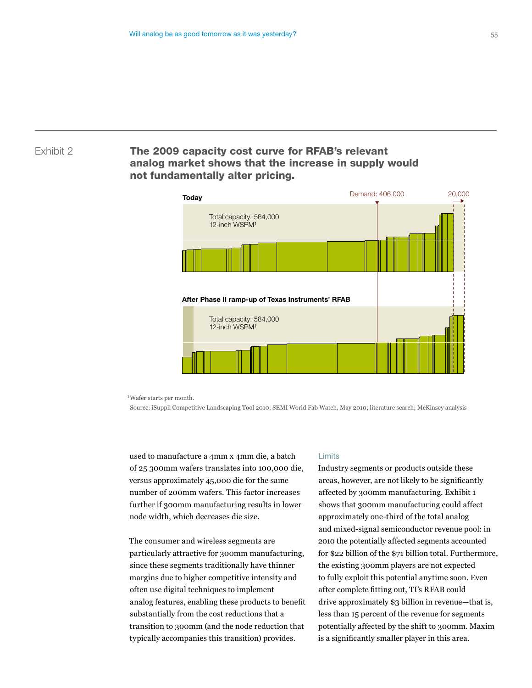# Exhibit 2 **The 2009 capacity cost curve for RFAB's relevant** analog market shows that the increase in supply would not fundamentally alter pricing.



1 Wafer starts per month.

Source: iSuppli Competitive Landscaping Tool 2010; SEMI World Fab Watch, May 2010; literature search; McKinsey analysis

used to manufacture a 4mm x 4mm die, a batch of 25 300mm wafers translates into 100,000 die, versus approximately 45,000 die for the same number of 200mm wafers. This factor increases further if 300mm manufacturing results in lower node width, which decreases die size.

The consumer and wireless segments are particularly attractive for 300mm manufacturing, since these segments traditionally have thinner margins due to higher competitive intensity and often use digital techniques to implement analog features, enabling these products to benefit substantially from the cost reductions that a transition to 300mm (and the node reduction that typically accompanies this transition) provides.

#### Limits

Industry segments or products outside these areas, however, are not likely to be significantly affected by 300mm manufacturing. Exhibit 1 shows that 300mm manufacturing could affect approximately one-third of the total analog and mixed-signal semiconductor revenue pool: in 2010 the potentially affected segments accounted for \$22 billion of the \$71 billion total. Furthermore, the existing 300mm players are not expected to fully exploit this potential anytime soon. Even after complete fitting out, TI's RFAB could drive approximately \$3 billion in revenue—that is, less than 15 percent of the revenue for segments potentially affected by the shift to 300mm. Maxim is a significantly smaller player in this area.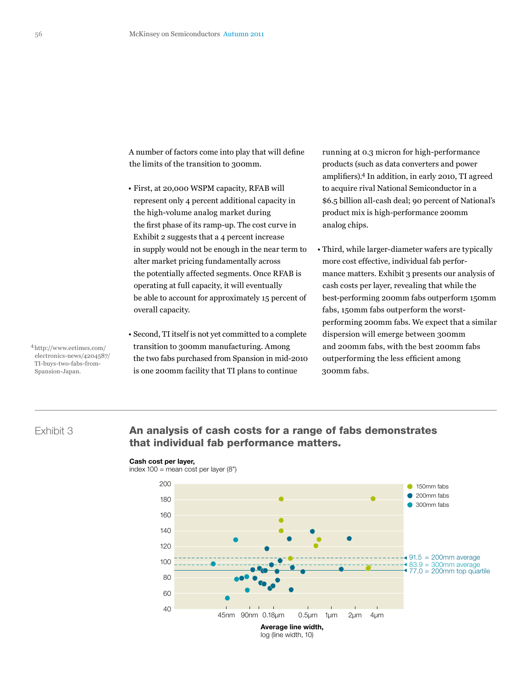A number of factors come into play that will define the limits of the transition to 300mm.

- First, at 20,000 WSPM capacity, RFAB will represent only 4 percent additional capacity in the high-volume analog market during the first phase of its ramp-up. The cost curve in Exhibit 2 suggests that a 4 percent increase in supply would not be enough in the near term to alter market pricing fundamentally across the potentially affected segments. Once RFAB is operating at full capacity, it will eventually be able to account for approximately 15 percent of overall capacity.
- Second, TI itself is not yet committed to a complete transition to 300mm manufacturing. Among the two fabs purchased from Spansion in mid-2010 is one 200mm facility that TI plans to continue

running at 0.3 micron for high-performance products (such as data converters and power amplifiers).4 In addition, in early 2010, TI agreed to acquire rival National Semiconductor in a \$6.5 billion all-cash deal; 90 percent of National's product mix is high-performance 200mm analog chips.

• Third, while larger-diameter wafers are typically more cost effective, individual fab performance matters. Exhibit 3 presents our analysis of cash costs per layer, revealing that while the best-performing 200mm fabs outperform 150mm fabs, 150mm fabs outperform the worstperforming 200mm fabs. We expect that a similar dispersion will emerge between 300mm and 200mm fabs, with the best 200mm fabs outperforming the less efficient among 300mm fabs.

4http://www.eetimes.com/ electronics-news/4204587/ TI-buys-two-fabs-from-Spansion-Japan.

# Exhibit 3

# An analysis of cash costs for a range of fabs demonstrates that individual fab performance matters.

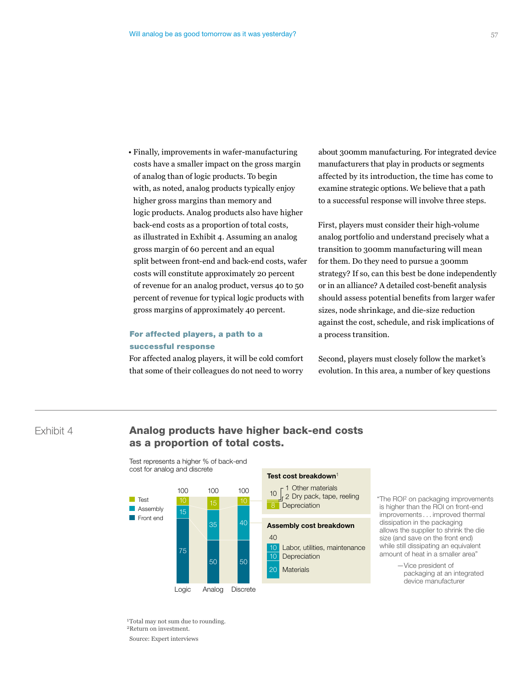• Finally, improvements in wafer-manufacturing costs have a smaller impact on the gross margin of analog than of logic products. To begin with, as noted, analog products typically enjoy higher gross margins than memory and logic products. Analog products also have higher back-end costs as a proportion of total costs, as illustrated in Exhibit 4. Assuming an analog gross margin of 60 percent and an equal split between front-end and back-end costs, wafer costs will constitute approximately 20 percent of revenue for an analog product, versus 40 to 50 percent of revenue for typical logic products with gross margins of approximately 40 percent.

## For affected players, a path to a successful response

For affected analog players, it will be cold comfort that some of their colleagues do not need to worry

about 300mm manufacturing. For integrated device manufacturers that play in products or segments affected by its introduction, the time has come to examine strategic options. We believe that a path to a successful response will involve three steps.

First, players must consider their high-volume analog portfolio and understand precisely what a transition to 300mm manufacturing will mean for them. Do they need to pursue a 300mm strategy? If so, can this best be done independently or in an alliance? A detailed cost-benefit analysis should assess potential benefits from larger wafer sizes, node shrinkage, and die-size reduction against the cost, schedule, and risk implications of a process transition.

Second, players must closely follow the market's evolution. In this area, a number of key questions

# Exhibit 4 **Analog products have higher back-end costs** as a proportion of total costs.



#### Test represents a higher % of back-end cost for analog and discrete

#### Test cost breakdown<sup>1</sup>

Other materials 1 2 Dry pack, tape, reeling **Depreciation** 10

#### Assembly cost breakdown

Labor, utilities, maintenance **Depreciation** 10 10

**Materials** 20

"The ROI2 on packaging improvements is higher than the ROI on front-end improvements . . . improved thermal dissipation in the packaging allows the supplier to shrink the die size (and save on the front end) while still dissipating an equivalent amount of heat in a smaller area"

> —Vice president of packaging at an integrated device manufacturer

<sup>1</sup>Total may not sum due to rounding. 2Return on investment. Source: Expert interviews